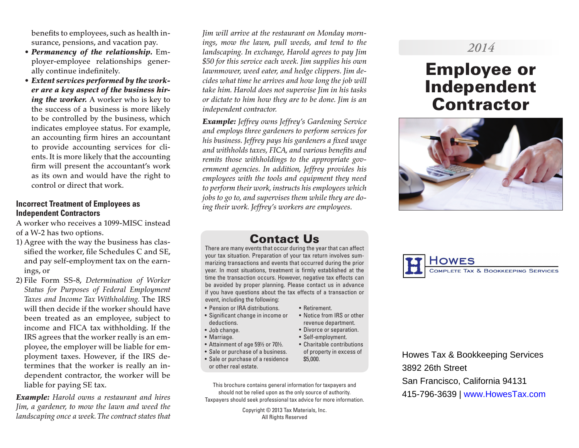benefits to employees, such as health insurance, pensions, and vacation pay.

- *Permanency of the relationship.* Employer-employee relationships generally continue indefinitely.
- *Extent services performed by the worker are a key aspect of the business hiring the worker.* A worker who is key to the success of a business is more likely to be controlled by the business, which indicates employee status. For example, an accounting firm hires an accountant to provide accounting services for clients. It is more likely that the accounting firm will present the accountant's work as its own and would have the right to control or direct that work.

### **Incorrect Treatment of Employees as Independent Contractors**

A worker who receives a 1099-MISC instead of a W-2 has two options.

- 1) Agree with the way the business has classified the worker, file Schedules C and SE, and pay self-employment tax on the earnings, or
- 2) File Form SS-8, *Determination of Worker Status for Purposes of Federal Employment Taxes and Income Tax Withholding.* The IRS will then decide if the worker should have been treated as an employee, subject to income and FICA tax withholding. If the IRS agrees that the worker really is an employee, the employer will be liable for employment taxes. However, if the IRS determines that the worker is really an independent contractor, the worker will be liable for paying SE tax.

*Example: Harold owns a restaurant and hires Jim, a gardener, to mow the lawn and weed the landscaping once a week. The contract states that*  *Jim will arrive at the restaurant on Monday mornings, mow the lawn, pull weeds, and tend to the landscaping. In exchange, Harold agrees to pay Jim \$50 for this service each week. Jim supplies his own lawnmower, weed eater, and hedge clippers. Jim decides what time he arrives and how long the job will take him. Harold does not supervise Jim in his tasks or dictate to him how they are to be done. Jim is an independent contractor.*

*Example: Jeffrey owns Jeffrey's Gardening Service and employs three gardeners to perform services for his business. Jeffrey pays his gardeners a fixed wage and withholds taxes, FICA, and various benefits and remits those withholdings to the appropriate government agencies. In addition, Jeffrey provides his employees with the tools and equipment they need to perform their work, instructs his employees which jobs to go to, and supervises them while they are doing their work. Jeffrey's workers are employees.*

# *2014*

# Employee or Independent **Contractor**



## Contact Us

There are many events that occur during the year that can affect your tax situation. Preparation of your tax return involves summarizing transactions and events that occurred during the prior year. In most situations, treatment is firmly established at the time the transaction occurs. However, negative tax effects can be avoided by proper planning. Please contact us in advance if you have questions about the tax effects of a transaction or event, including the following:

• Retirement.

\$5,000.

• Notice from IRS or other revenue department. • Divorce or separation. • Self-employment.

- Pension or IRA distributions.
- Significant change in income or deductions.
- Job change.
- Marriage.
- Attainment of age 59½ or 70½. • Charitable contributions
- Sale or purchase of a business. of property in excess of
- Sale or purchase of a residence or other real estate.

This brochure contains general information for taxpayers and should not be relied upon as the only source of authority. Taxpayers should seek professional tax advice for more information.

> Copyright © 2013 Tax Materials, Inc. All Rights Reserved



Howes Tax & Bookkeeping Services 3892 26th Street San Francisco, California 94131 415-796-3639 | www.HowesTax.com